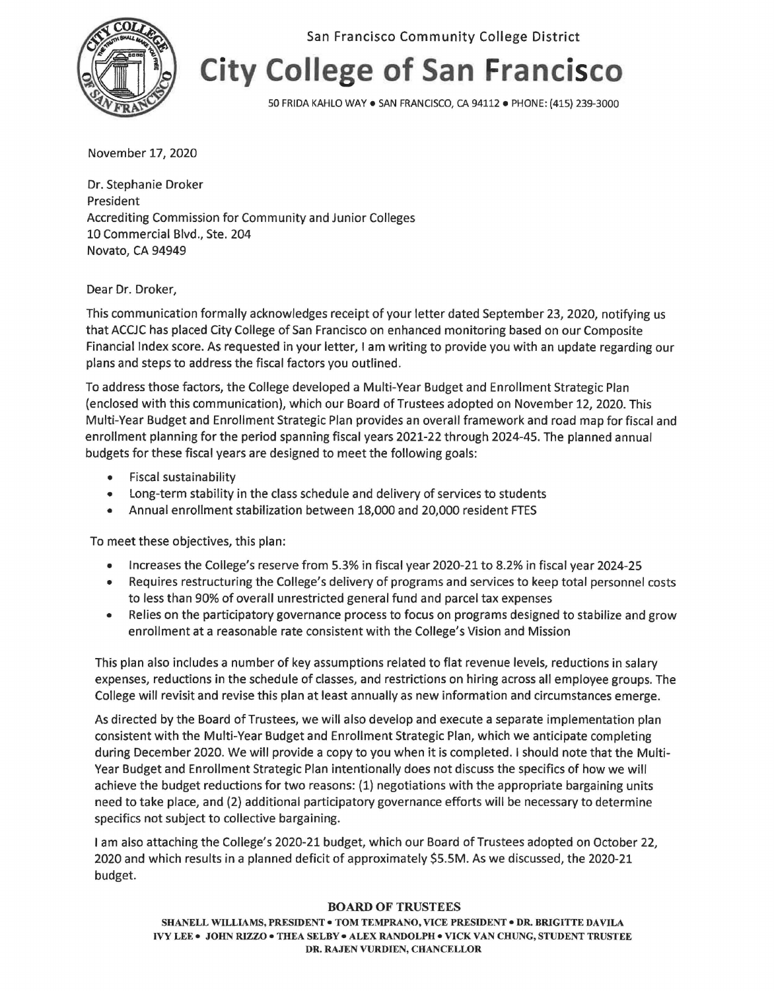

San Francisco Community College District

## **City College of San Francisco**

50 FRIDA KAHLO WAY• SAN FRANCISCO, CA 94112 • PHONE: (415) 239-3000

November 17, 2020

Dr. Stephanie Droker President Accrediting Commission for Community and Junior Colleges 10 Commercial Blvd., Ste. 204 Novato, CA 94949

Dear Dr. Droker,

This communication formally acknowledges receipt of your letter dated September 23, 2020, notifying us that ACCJC has placed City College of San Francisco on enhanced monitoring based on our Composite Financial Index score. As requested in your letter, I am writing to provide you with an update regarding our plans and steps to address the fiscal factors you outlined.

To address those factors, the College developed a Multi-Year Budget and Enrollment Strategic Plan (enclosed with this communication), which our Board of Trustees adopted on November 12, 2020. This Multi-Year Budget and Enrollment Strategic Plan provides an overall framework and road map for fiscal and enrollment planning for the period spanning fiscal years 2021-22 through 2024-45. The planned annual budgets for these fiscal years are designed to meet the following goals:

- Fiscal sustainability
- Long-term stability in the class schedule and delivery of services to students
- Annual enrollment stabilization between 18,000 and 20,000 resident FTES

To meet these objectives, this plan:

- Increases the College's reserve from 5.3% in fiscal year 2020-21 to 8.2% in fiscal year 2024-25
- Requires restructuring the College's delivery of programs and services to keep total personnel costs to less than 90% of overall unrestricted general fund and parcel tax expenses
- Relies on the participatory governance process to focus on programs designed to stabilize and grow enrollment at a reasonable rate consistent with the College's Vision and Mission

This plan also includes a number of key assumptions related to flat revenue levels, reductions in salary expenses, reductions in the schedule of classes, and restrictions on hiring across all employee groups. The College will revisit and revise this plan at least annually as new information and circumstances emerge.

As directed by the Board of Trustees, we will also develop and execute a separate implementation plan consistent with the Multi-Year Budget and Enrollment Strategic Plan, which we anticipate completing during December 2020. We will provide a copy to you when it is completed. I should note that the Multi-Year Budget and Enrollment Strategic Plan intentionally does not discuss the specifics of how we will achieve the budget reductions for two reasons: (1) negotiations with the appropriate bargaining units need to take place, and (2) additional participatory governance efforts will be necessary to determine specifics not subject to collective bargaining.

I am also attaching the College's 2020-21 budget, which our Board of Trustees adopted on October 22, 2020 and which results in a planned deficit of approximately \$5.5M. As we discussed, the 2020-21 budget.

## **BOARD OF TRUSTEES**

**SHANELL WILLIAMS, PRESIDENT• TOM TEMPRANO, VICE PRESIDENT• DR. BRIGITTE DAVILA IVY LEE• JOHN RIZZO• THEA SELBY• ALEX RANDOLPH• VICK VAN CHUNG, STUDENT TRUSTEE DR. RAJEN VURDIEN, CHANCELLOR**